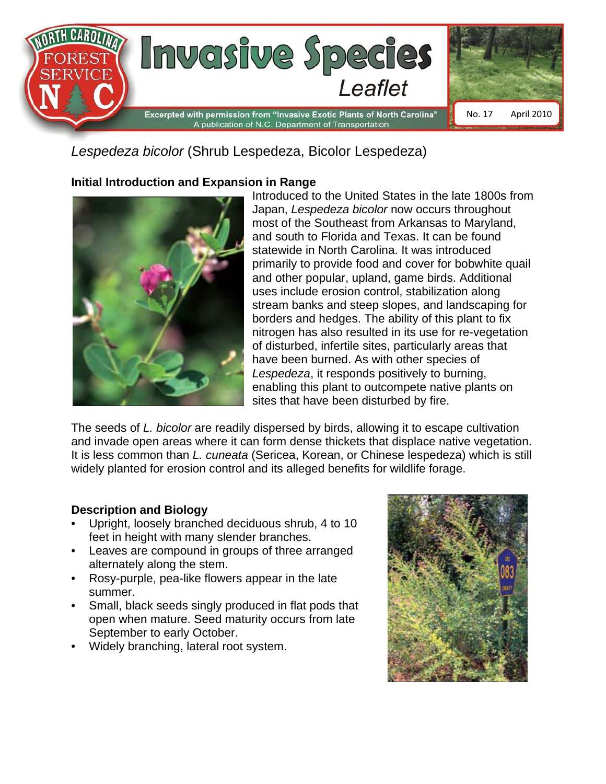

*Lespedeza bicolor* (Shrub Lespedeza, Bicolor Lespedeza)

## **Initial Introduction and Expansion in Range**



Introduced to the United States in the late 1800s from Japan, *Lespedeza bicolor* now occurs throughout most of the Southeast from Arkansas to Maryland, and south to Florida and Texas. It can be found statewide in North Carolina. It was introduced primarily to provide food and cover for bobwhite quail and other popular, upland, game birds. Additional uses include erosion control, stabilization along stream banks and steep slopes, and landscaping for borders and hedges. The ability of this plant to fix nitrogen has also resulted in its use for re-vegetation of disturbed, infertile sites, particularly areas that have been burned. As with other species of *Lespedeza*, it responds positively to burning, enabling this plant to outcompete native plants on sites that have been disturbed by fire.

The seeds of *L. bicolor* are readily dispersed by birds, allowing it to escape cultivation and invade open areas where it can form dense thickets that displace native vegetation. It is less common than *L. cuneata* (Sericea, Korean, or Chinese lespedeza) which is still widely planted for erosion control and its alleged benefits for wildlife forage.

## **Description and Biology**

- Upright, loosely branched deciduous shrub, 4 to 10 feet in height with many slender branches.
- Leaves are compound in groups of three arranged alternately along the stem.
- Rosy-purple, pea-like flowers appear in the late summer.
- Small, black seeds singly produced in flat pods that open when mature. Seed maturity occurs from late September to early October.
- Widely branching, lateral root system.